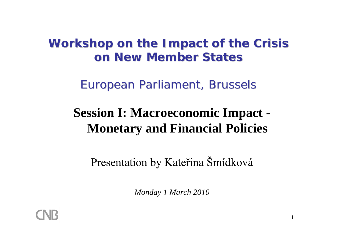### Workshop on the Impact of the Crisis *on New Member States on New Member States*

*European Parliament, European Parliament, Brussel Brussel s*

# **Session I: Macroeconomic Impact - Monetary and Financial Policies**

Presentation by Kate řina Šmídková

*Monday 1 March 2010*

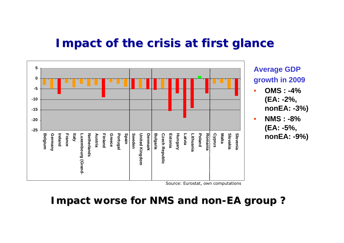#### *Impact of the crisis at first glance Impact of the crisis at first glance*



**Average GDP growth in 2009**

- **OMS : -4% (EA: -2%, nonEA: -3%)**
- **NMS : -8% (EA: -5%, nonEA: -9%)**

Source: Eurostat, own computations

#### **l** mpact worse for NMS and non-EA group?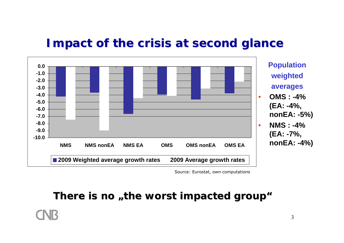#### *Impact of the crisis at second glance*



Source: Eurostat, own computations

### **There is no "the worst impacted impacted group "**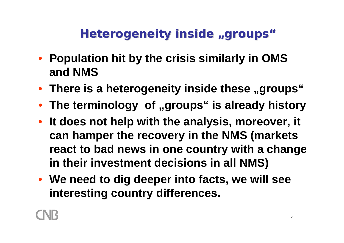# *Heterogeneity Heterogeneity inside "groups"*

- **Population hit by the crisis similarly in OMS and NMS**
- There is a heterogeneity inside these "groups"
- **The terminology of "groups" is already history**
- **It does not help with the analysis, moreover, it can hamper the recovery in the NMS (markets react to bad news in one country with a change in their investment decisions in all NMS)**
- **We need to dig deeper into facts, we will see interesting country differences.**

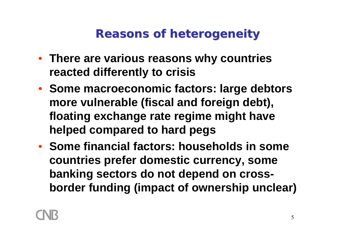## *Reasons Reasons of heterogeneity eterogeneity*

- **There are various reasons why countries reacted differently to crisis**
- **Some macroeconomic factors: large debtors more vulnerable (fiscal and foreign debt), floating exchange rate regime might have helped compared to hard pegs**
- **Some financial factors: households in some countries prefer domestic currency, some banking sectors do not depend on crossborder funding (impact of ownership unclear)**

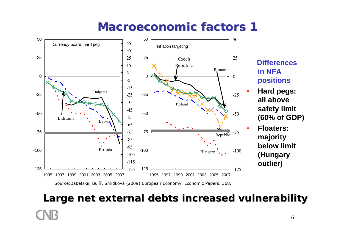## *Macroeconomic Macroeconomic factors factors 1*



#### **Differences in NFA positions**

- **Hard pegs: all above safety limit (60% of GDP)**
- **Floaters: majority below limit (Hungary outlier)**

# 6**Large net external debts increased vulnerability Large net external debts increased vulnerability**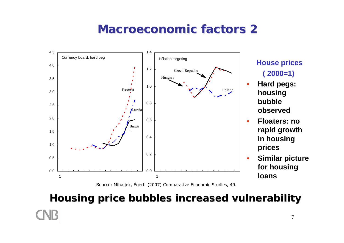### *Macroeconomic Macroeconomic factors factors2*



**House prices ( 2000=1)**

 **Hard pegs: housing bubble observed**

- **Floaters: no rapid growth in housing prices**
- **Similar picture for housing loans**

Source: Mihaljek, Égert (2007) Comparative Economic Studies, 49.

# 7**Housing Housing price bubbles increased vulnerability bubbles increased vulnerability**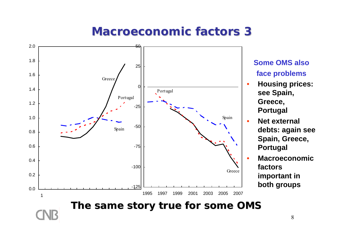## *Macroeconomic Macroeconomic factors factors 3*



**Some OMS also** 

**face problems** 

**see Spain,** 

**Greece,** 

**Portugal**

**Portugal**

**factors** 

**Net external** 

**debts: again see** 

**Spain, Greece,** 

**Macroeconomic** 

**important in** 

**both groups**

**Housing prices:**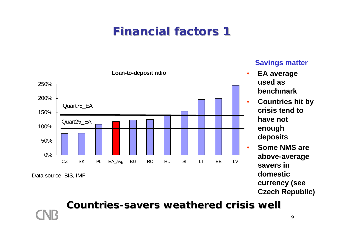

#### **Savings matter**

- • **EA average used as benchmark**
	- **Countries hit by crisis tend to have not enough deposits**
	- **Some NMS are above-average savers in domestic currency (see Czech Republic)**

#### **Countries Countries-savers weathered crisis well savers weathered crisis well**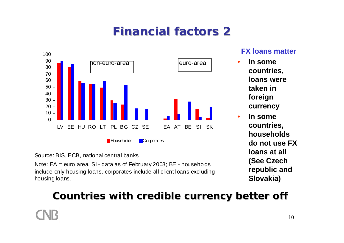

Source: BIS, ECB, national central banks

Note: EA = euro area. SI - data as of February 2008; BE - households include only housing loans, corporates include all client loans excluding housing loans.

#### **FX loans matter**

• **In some countries, loans were taken in foreign currency**

•

 **In some countries, households do not use FX loans at all (See Czech republic and Slovakia)**

#### **Countries with credible currency better off Countries with credible currency better off**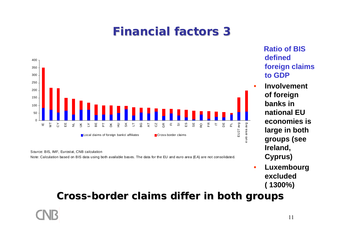

Source: BIS, IMF, Eurostat, CNB calculation Note: Calculation based on BIS data using both available bases. The data for the EU and euro area (EA) are not consolidated. **Ratio of BIS defined foreign claims to GDP** 

 **Involvement of foreign banks in national EU economies is large in both groups (see Ireland, Cyprus)**

• **Luxembourg excluded ( 1300%)**

#### **Cross-border claims differ in both groups border claims differ in both groups**

11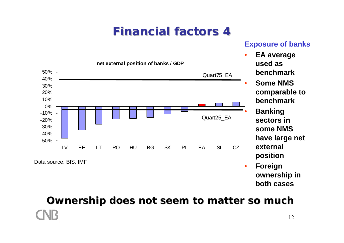#### **Exposure of banks**



**Ownership does not seem to matter so much**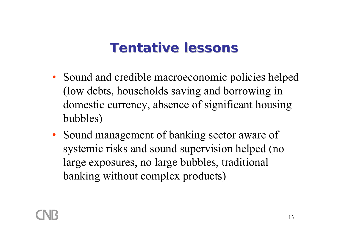# *Tentative lessons Tentative lessons*

- Sound and credible macroeconomic policies helped (low debts, households saving and borrowing in domestic currency, absence of significant housing bubbles)
- Sound management of banking sector aware of systemic risks and sound supervision helped (no large exposures, no large bubbles, traditional banking without complex products)

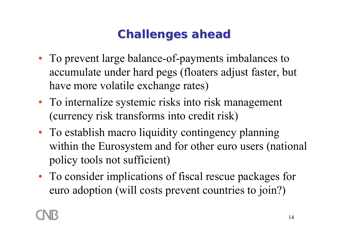# *Challenges ahead Challenges ahead*

- To prevent large balance-of-payments imbalances to accumulate under hard pegs (floaters adjust faster, but have more volatile exchange rates)
- To internalize systemic risks into risk management (currency risk transforms into credit risk)
- To establish macro liquidity contingency planning within the Eurosystem and for other euro users (national policy tools not sufficient)
- To consider implications of fiscal rescue packages for euro adoption (will costs prevent countries to join?)